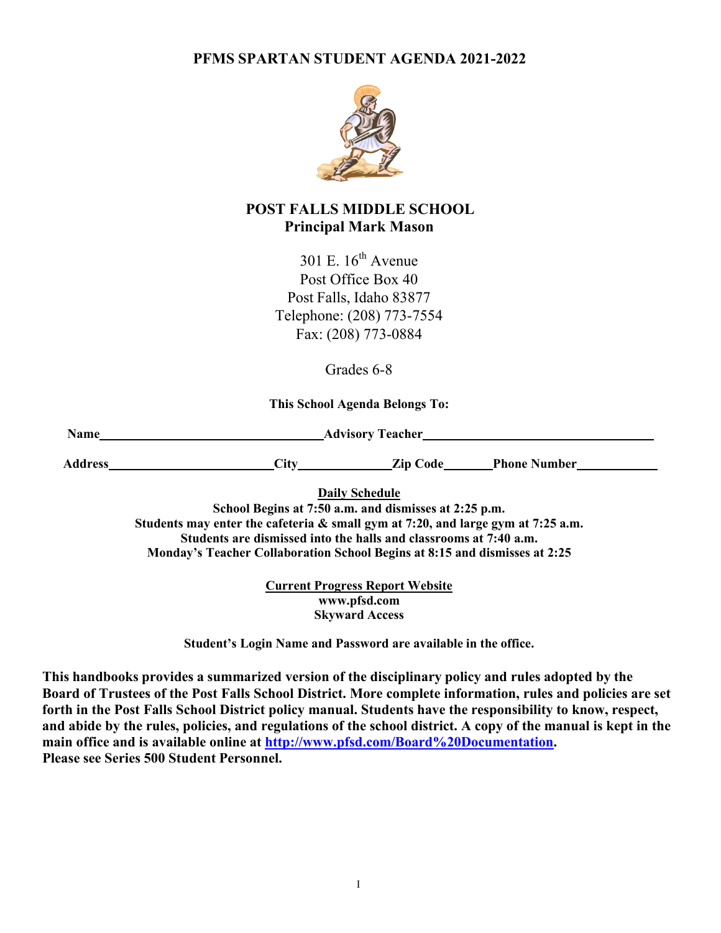**PFMS SPARTAN STUDENT AGENDA 2021-2022**



# **POST FALLS MIDDLE SCHOOL Principal Mark Mason**

301 E.  $16^{th}$  Avenue Post Office Box 40 Post Falls, Idaho 83877 Telephone: (208) 773-7554 Fax: (208) 773-0884

Grades 6-8

**This School Agenda Belongs To:**

**Name Advisory Teacher Advisory Teacher Advisory Teacher Advisory Teacher Advisory Teacher Advisory Teacher Advisory Teacher Advisory Teacher Advisory Teacher Advisory Teacher Advi** 

**Address City Zip Code Phone Number**

**Daily Schedule**

**School Begins at 7:50 a.m. and dismisses at 2:25 p.m. Students may enter the cafeteria & small gym at 7:20, and large gym at 7:25 a.m. Students are dismissed into the halls and classrooms at 7:40 a.m. Monday's Teacher Collaboration School Begins at 8:15 and dismisses at 2:25**

> **Current Progress Report Website [www.pfsd.com](http://www.pfsd.com/) Skyward Access**

**Student's Login Name and Password are available in the office.**

**This handbooks provides a summarized version of the disciplinary policy and rules adopted by the Board of Trustees of the Post Falls School District. More complete information, rules and policies are set forth in the Post Falls School District policy manual. Students have the responsibility to know, respect, and abide by the rules, policies, and regulations of the school district. A copy of the manual is kept in the main office and is available online at [http://www.pfsd.com/Board%20Documentation.](http://www.pfsd.com/Board%20Documentation) Please see Series 500 Student Personnel.**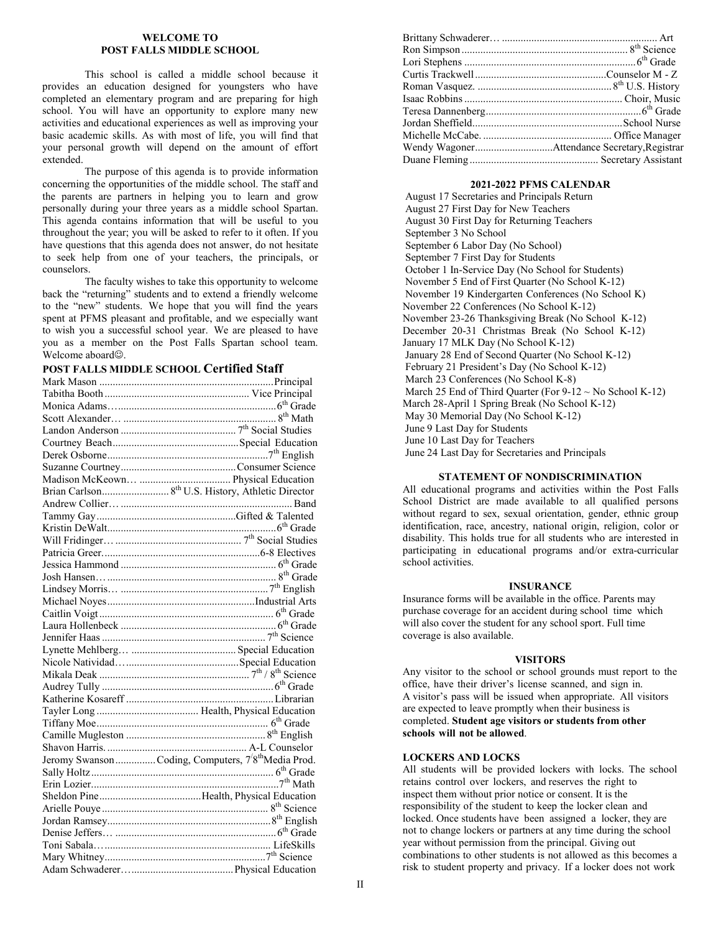#### **WELCOME TO POST FALLS MIDDLE SCHOOL**

This school is called a middle school because it provides an education designed for youngsters who have completed an elementary program and are preparing for high school. You will have an opportunity to explore many new activities and educational experiences as well as improving your basic academic skills. As with most of life, you will find that your personal growth will depend on the amount of effort extended.

The purpose of this agenda is to provide information concerning the opportunities of the middle school. The staff and the parents are partners in helping you to learn and grow personally during your three years as a middle school Spartan. This agenda contains information that will be useful to you throughout the year; you will be asked to refer to it often. If you have questions that this agenda does not answer, do not hesitate to seek help from one of your teachers, the principals, or counselors.

The faculty wishes to take this opportunity to welcome back the "returning" students and to extend a friendly welcome to the "new" students. We hope that you will find the years spent at PFMS pleasant and profitable, and we especially want to wish you a successful school year. We are pleased to have you as a member on the Post Falls Spartan school team. Welcome aboard<sup>®</sup>.

**POST FALLS MIDDLE SCHOOL Certified Staff**

| $\begin{minipage}{0.9\linewidth} \textbf{Kristin DeWalt} \end{minipage} \begin{minipage}{0.9\linewidth} \textbf{Will Friday} \end{minipage} \begin{minipage}{0.9\linewidth} \textbf{Grid} \end{minipage} \begin{minipage}{0.9\linewidth} \textbf{Grid} \end{minipage} \begin{minipage}{0.9\linewidth} \textbf{Grid} \end{minipage} \begin{minipage}{0.9\linewidth} \textbf{Grid} \end{minipage} \begin{minipage}{0.9\linewidth} \textbf{Grid} \end{minipage} \begin{minipage}{0.9\linewidth} \textbf{Grid} \end{minipage}$ |  |
|----------------------------------------------------------------------------------------------------------------------------------------------------------------------------------------------------------------------------------------------------------------------------------------------------------------------------------------------------------------------------------------------------------------------------------------------------------------------------------------------------------------------------|--|
|                                                                                                                                                                                                                                                                                                                                                                                                                                                                                                                            |  |
|                                                                                                                                                                                                                                                                                                                                                                                                                                                                                                                            |  |
|                                                                                                                                                                                                                                                                                                                                                                                                                                                                                                                            |  |
|                                                                                                                                                                                                                                                                                                                                                                                                                                                                                                                            |  |
|                                                                                                                                                                                                                                                                                                                                                                                                                                                                                                                            |  |
|                                                                                                                                                                                                                                                                                                                                                                                                                                                                                                                            |  |
|                                                                                                                                                                                                                                                                                                                                                                                                                                                                                                                            |  |
|                                                                                                                                                                                                                                                                                                                                                                                                                                                                                                                            |  |
|                                                                                                                                                                                                                                                                                                                                                                                                                                                                                                                            |  |
|                                                                                                                                                                                                                                                                                                                                                                                                                                                                                                                            |  |
|                                                                                                                                                                                                                                                                                                                                                                                                                                                                                                                            |  |
|                                                                                                                                                                                                                                                                                                                                                                                                                                                                                                                            |  |
|                                                                                                                                                                                                                                                                                                                                                                                                                                                                                                                            |  |
|                                                                                                                                                                                                                                                                                                                                                                                                                                                                                                                            |  |
|                                                                                                                                                                                                                                                                                                                                                                                                                                                                                                                            |  |
|                                                                                                                                                                                                                                                                                                                                                                                                                                                                                                                            |  |
|                                                                                                                                                                                                                                                                                                                                                                                                                                                                                                                            |  |
|                                                                                                                                                                                                                                                                                                                                                                                                                                                                                                                            |  |
| Jeromy Swanson  Coding, Computers, 7 <sup>'8th</sup> Media Prod.                                                                                                                                                                                                                                                                                                                                                                                                                                                           |  |
|                                                                                                                                                                                                                                                                                                                                                                                                                                                                                                                            |  |
|                                                                                                                                                                                                                                                                                                                                                                                                                                                                                                                            |  |
|                                                                                                                                                                                                                                                                                                                                                                                                                                                                                                                            |  |
|                                                                                                                                                                                                                                                                                                                                                                                                                                                                                                                            |  |
|                                                                                                                                                                                                                                                                                                                                                                                                                                                                                                                            |  |
|                                                                                                                                                                                                                                                                                                                                                                                                                                                                                                                            |  |
|                                                                                                                                                                                                                                                                                                                                                                                                                                                                                                                            |  |
|                                                                                                                                                                                                                                                                                                                                                                                                                                                                                                                            |  |
|                                                                                                                                                                                                                                                                                                                                                                                                                                                                                                                            |  |

| Wendy WagonerAttendance Secretary, Registrar |  |
|----------------------------------------------|--|
|                                              |  |
|                                              |  |

#### **2021-2022 PFMS CALENDAR**

August 17 Secretaries and Principals Return August 27 First Day for New Teachers August 30 First Day for Returning Teachers September 3 No School September 6 Labor Day (No School) September 7 First Day for Students October 1 In-Service Day (No School for Students) November 5 End of First Quarter (No School K-12) November 19 Kindergarten Conferences (No School K) November 22 Conferences (No School K-12) November 23-26 Thanksgiving Break (No School K-12) December 20-31 Christmas Break (No School K-12) January 17 MLK Day (No School K-12) January 28 End of Second Quarter (No School K-12) February 21 President's Day (No School K-12) March 23 Conferences (No School K-8) March 25 End of Third Quarter (For  $9-12 \sim$  No School K-12) March 28-April 1 Spring Break (No School K-12) May 30 Memorial Day (No School K-12) June 9 Last Day for Students June 10 Last Day for Teachers June 24 Last Day for Secretaries and Principals

#### **STATEMENT OF NONDISCRIMINATION**

All educational programs and activities within the Post Falls School District are made available to all qualified persons without regard to sex, sexual orientation, gender, ethnic group identification, race, ancestry, national origin, religion, color or disability. This holds true for all students who are interested in participating in educational programs and/or extra-curricular school activities.

#### **INSURANCE**

Insurance forms will be available in the office. Parents may purchase coverage for an accident during school time which will also cover the student for any school sport. Full time coverage is also available.

#### **VISITORS**

Any visitor to the school or school grounds must report to the office, have their driver's license scanned, and sign in. A visitor's pass will be issued when appropriate. All visitors are expected to leave promptly when their business is completed. **Student age visitors or students from other schools will not be allowed**.

### **LOCKERS AND LOCKS**

All students will be provided lockers with locks. The school retains control over lockers, and reserves the right to inspect them without prior notice or consent. It is the responsibility of the student to keep the locker clean and locked. Once students have been assigned a locker, they are not to change lockers or partners at any time during the school year without permission from the principal. Giving out combinations to other students is not allowed as this becomes a risk to student property and privacy. If a locker does not work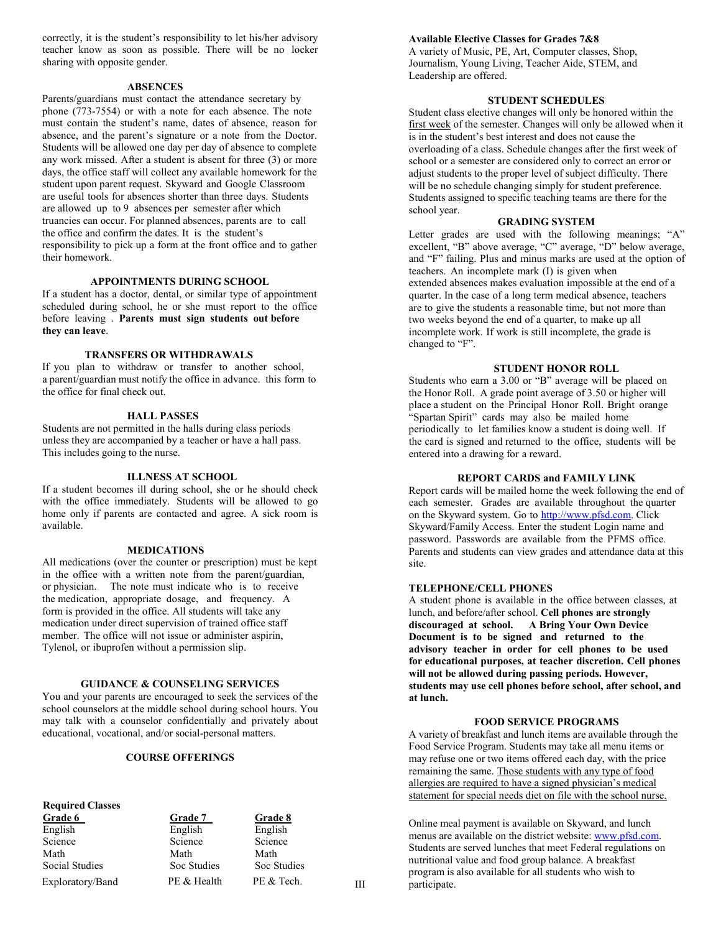correctly, it is the student's responsibility to let his/her advisory teacher know as soon as possible. There will be no locker sharing with opposite gender.

#### **ABSENCES**

Parents/guardians must contact the attendance secretary by phone (773-7554) or with a note for each absence. The note must contain the student's name, dates of absence, reason for absence, and the parent's signature or a note from the Doctor. Students will be allowed one day per day of absence to complete any work missed. After a student is absent for three (3) or more days, the office staff will collect any available homework for the student upon parent request. Skyward and Google Classroom are useful tools for absences shorter than three days. Students are allowed up to 9 absences per semester after which truancies can occur. For planned absences, parents are to call the office and confirm the dates. It is the student's responsibility to pick up a form at the front office and to gather their homework.

#### **APPOINTMENTS DURING SCHOOL**

If a student has a doctor, dental, or similar type of appointment scheduled during school, he or she must report to the office before leaving . **Parents must sign students out before they can leave**.

#### **TRANSFERS OR WITHDRAWALS**

If you plan to withdraw or transfer to another school, a parent/guardian must notify the office in advance. this form to the office for final check out.

#### **HALL PASSES**

Students are not permitted in the halls during class periods unless they are accompanied by a teacher or have a hall pass. This includes going to the nurse.

#### **ILLNESS AT SCHOOL**

If a student becomes ill during school, she or he should check with the office immediately. Students will be allowed to go home only if parents are contacted and agree. A sick room is available.

#### **MEDICATIONS**

All medications (over the counter or prescription) must be kept in the office with a written note from the parent/guardian, or physician. The note must indicate who is to receive the medication, appropriate dosage, and frequency. A form is provided in the office. All students will take any medication under direct supervision of trained office staff member. The office will not issue or administer aspirin, Tylenol, or ibuprofen without a permission slip.

#### **GUIDANCE & COUNSELING SERVICES**

You and your parents are encouraged to seek the services of the school counselors at the middle school during school hours. You may talk with a counselor confidentially and privately about educational, vocational, and/or social-personal matters.

#### **COURSE OFFERINGS**

# **Required Classes**

English English English Science Science Science Science Math Math Math Social Studies Soc Studies Soc Studies

**Grade 6**<br> **6** English English English English English

#### **Available Elective Classes for Grades 7&8**

A variety of Music, PE, Art, Computer classes, Shop, Journalism, Young Living, Teacher Aide, STEM, and Leadership are offered.

#### **STUDENT SCHEDULES**

Student class elective changes will only be honored within the first week of the semester. Changes will only be allowed when it is in the student's best interest and does not cause the overloading of a class. Schedule changes after the first week of school or a semester are considered only to correct an error or adjust students to the proper level of subject difficulty. There will be no schedule changing simply for student preference. Students assigned to specific teaching teams are there for the school year.

#### **GRADING SYSTEM**

Letter grades are used with the following meanings; "A" excellent, "B" above average, "C" average, "D" below average, and "F" failing. Plus and minus marks are used at the option of teachers. An incomplete mark (I) is given when extended absences makes evaluation impossible at the end of a quarter. In the case of a long term medical absence, teachers are to give the students a reasonable time, but not more than two weeks beyond the end of a quarter, to make up all incomplete work. If work is still incomplete, the grade is changed to "F".

#### **STUDENT HONOR ROLL**

Students who earn a 3.00 or "B" average will be placed on the Honor Roll. A grade point average of 3.50 or higher will place a student on the Principal Honor Roll. Bright orange "Spartan Spirit" cards may also be mailed home periodically to let families know a student is doing well. If the card is signed and returned to the office, students will be entered into a drawing for a reward.

#### **REPORT CARDS and FAMILY LINK**

Report cards will be mailed home the week following the end of each semester. Grades are available throughout the quarter on the Skyward system. Go to [http://www.pfsd.com.](http://www.pfsd.com/) Click Skyward/Family Access. Enter the student Login name and password. Passwords are available from the PFMS office. Parents and students can view grades and attendance data at this site.

#### **TELEPHONE/CELL PHONES**

A student phone is available in the office between classes, at lunch, and before/after school. **Cell phones are strongly discouraged at school. A Bring Your Own Device Document is to be signed and returned to the advisory teacher in order for cell phones to be used for educational purposes, at teacher discretion. Cell phones will not be allowed during passing periods. However, students may use cell phones before school, after school, and at lunch.**

#### **FOOD SERVICE PROGRAMS**

A variety of breakfast and lunch items are available through the Food Service Program. Students may take all menu items or may refuse one or two items offered each day, with the price remaining the same. Those students with any type of food allergies are required to have a signed physician's medical statement for special needs diet on file with the school nurse.

Exploratory/Band PE & Health PE & Tech. III pregnant product Online meal payment is available on Skyward, and lunch menus are available on the district website: [www.pfsd.com.](http://www.pfsd.com/) Students are served lunches that meet Federal regulations on nutritional value and food group balance. A breakfast program is also available for all students who wish to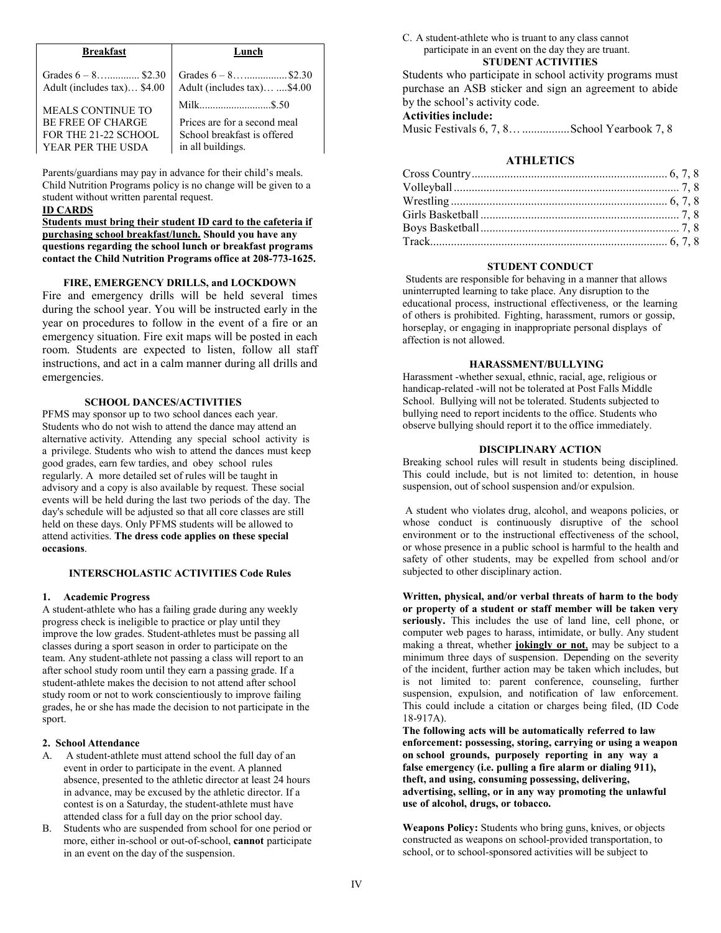| <b>Breakfast</b>            | Lunch                        |
|-----------------------------|------------------------------|
| Grades $6 - 8$ \$2.30       |                              |
| Adult (includes tax) \$4.00 | Adult (includes tax) \$4.00  |
| <b>MEALS CONTINUE TO</b>    |                              |
| <b>BE FREE OF CHARGE</b>    | Prices are for a second meal |
| FOR THE 21-22 SCHOOL        | School breakfast is offered  |
| YEAR PER THE USDA           | in all buildings.            |

Parents/guardians may pay in advance for their child's meals. Child Nutrition Programs policy is no change will be given to a student without written parental request.

#### **ID CARDS**

**Students must bring their student ID card to the cafeteria if purchasing school breakfast/lunch. Should you have any questions regarding the school lunch or breakfast programs contact the Child Nutrition Programs office at 208-773-1625.**

#### **FIRE, EMERGENCY DRILLS, and LOCKDOWN**

Fire and emergency drills will be held several times during the school year. You will be instructed early in the year on procedures to follow in the event of a fire or an emergency situation. Fire exit maps will be posted in each room. Students are expected to listen, follow all staff instructions, and act in a calm manner during all drills and emergencies.

# **SCHOOL DANCES/ACTIVITIES**

PFMS may sponsor up to two school dances each year. Students who do not wish to attend the dance may attend an alternative activity. Attending any special school activity is a privilege. Students who wish to attend the dances must keep good grades, earn few tardies, and obey school rules regularly. A more detailed set of rules will be taught in advisory and a copy is also available by request. These social events will be held during the last two periods of the day. The day's schedule will be adjusted so that all core classes are still held on these days. Only PFMS students will be allowed to attend activities. **The dress code applies on these special occasions**.

#### **INTERSCHOLASTIC ACTIVITIES Code Rules**

#### **1. Academic Progress**

A student-athlete who has a failing grade during any weekly progress check is ineligible to practice or play until they improve the low grades. Student-athletes must be passing all classes during a sport season in order to participate on the team. Any student-athlete not passing a class will report to an after school study room until they earn a passing grade. If a student-athlete makes the decision to not attend after school study room or not to work conscientiously to improve failing grades, he or she has made the decision to not participate in the sport.

#### **2. School Attendance**

- A. A student-athlete must attend school the full day of an event in order to participate in the event. A planned absence, presented to the athletic director at least 24 hours in advance, may be excused by the athletic director. If a contest is on a Saturday, the student-athlete must have attended class for a full day on the prior school day.
- B. Students who are suspended from school for one period or more, either in-school or out-of-school, **cannot** participate in an event on the day of the suspension.

C. A student-athlete who is truant to any class cannot participate in an event on the day they are truant. **STUDENT ACTIVITIES**

Students who participate in school activity programs must purchase an ASB sticker and sign an agreement to abide by the school's activity code.

# **Activities include:**

Music Festivals 6, 7, 8…................School Yearbook 7, 8

# **ATHLETICS**

#### **STUDENT CONDUCT**

Students are responsible for behaving in a manner that allows uninterrupted learning to take place. Any disruption to the educational process, instructional effectiveness, or the learning of others is prohibited. Fighting, harassment, rumors or gossip, horseplay, or engaging in inappropriate personal displays of affection is not allowed.

#### **HARASSMENT/BULLYING**

Harassment -whether sexual, ethnic, racial, age, religious or handicap-related -will not be tolerated at Post Falls Middle School. Bullying will not be tolerated. Students subjected to bullying need to report incidents to the office. Students who observe bullying should report it to the office immediately.

#### **DISCIPLINARY ACTION**

Breaking school rules will result in students being disciplined. This could include, but is not limited to: detention, in house suspension, out of school suspension and/or expulsion.

A student who violates drug, alcohol, and weapons policies, or whose conduct is continuously disruptive of the school environment or to the instructional effectiveness of the school, or whose presence in a public school is harmful to the health and safety of other students, may be expelled from school and/or subjected to other disciplinary action.

**Written, physical, and/or verbal threats of harm to the body or property of a student or staff member will be taken very seriously.** This includes the use of land line, cell phone, or computer web pages to harass, intimidate, or bully. Any student making a threat, whether **jokingly or not**, may be subject to a minimum three days of suspension. Depending on the severity of the incident, further action may be taken which includes, but is not limited to: parent conference, counseling, further suspension, expulsion, and notification of law enforcement. This could include a citation or charges being filed, (ID Code 18-917A).

**The following acts will be automatically referred to law enforcement: possessing, storing, carrying or using a weapon on school grounds, purposely reporting in any way a false emergency (i.e. pulling a fire alarm or dialing 911), theft, and using, consuming possessing, delivering, advertising, selling, or in any way promoting the unlawful use of alcohol, drugs, or tobacco.**

**Weapons Policy:** Students who bring guns, knives, or objects constructed as weapons on school-provided transportation, to school, or to school-sponsored activities will be subject to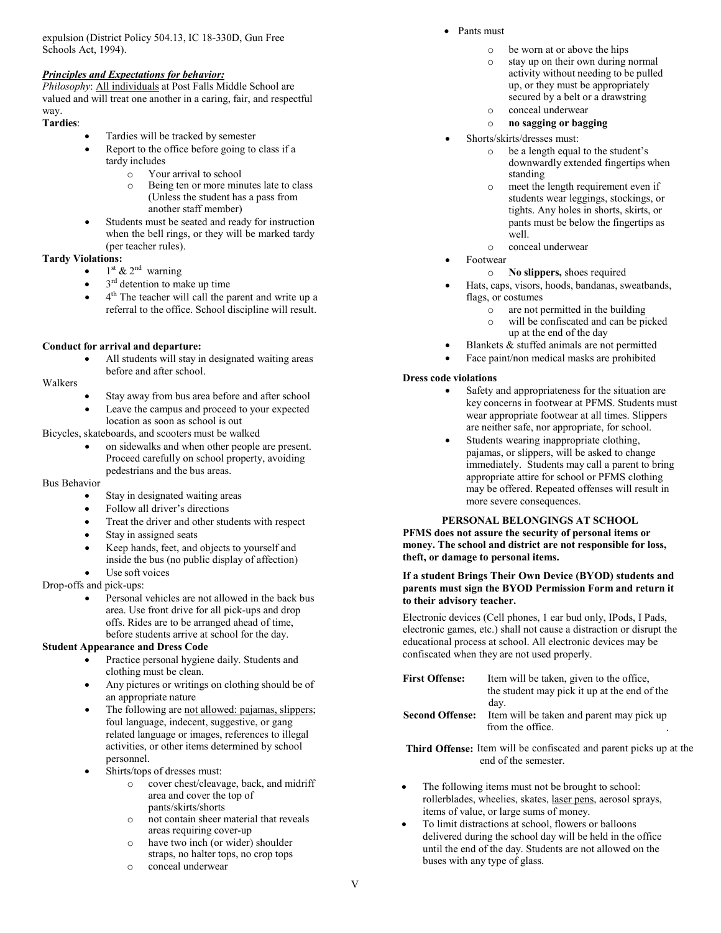expulsion (District Policy 504.13, IC 18-330D, Gun Free Schools Act, 1994).

### *Principles and Expectations for behavior:*

*Philosophy*: All individuals at Post Falls Middle School are valued and will treat one another in a caring, fair, and respectful way.

# **Tardies**:

- Tardies will be tracked by semester
	- Report to the office before going to class if a tardy includes
		- $\circ$  Your arrival to school<br>  $\circ$  Being ten or more min
		- Being ten or more minutes late to class (Unless the student has a pass from another staff member)
- Students must be seated and ready for instruction when the bell rings, or they will be marked tardy (per teacher rules).

# **Tardy Violations:**

- $1<sup>st</sup>$  &  $2<sup>nd</sup>$  warning
- $3^{\rm rd}$  detention to make up time
- 4<sup>th</sup> The teacher will call the parent and write up a referral to the office. School discipline will result.

# **Conduct for arrival and departure:**

All students will stay in designated waiting areas before and after school.

# Walkers

- Stay away from bus area before and after school
- Leave the campus and proceed to your expected location as soon as school is out

Bicycles, skateboards, and scooters must be walked

on sidewalks and when other people are present. Proceed carefully on school property, avoiding pedestrians and the bus areas.

#### Bus Behavior

- Stay in designated waiting areas
- Follow all driver's directions
- Treat the driver and other students with respect
- Stay in assigned seats
- Keep hands, feet, and objects to yourself and inside the bus (no public display of affection)
- Use soft voices

Drop-offs and pick-ups:

Personal vehicles are not allowed in the back bus area. Use front drive for all pick-ups and drop offs. Rides are to be arranged ahead of time, before students arrive at school for the day.

# **Student Appearance and Dress Code**

- Practice personal hygiene daily. Students and clothing must be clean.
- Any pictures or writings on clothing should be of an appropriate nature
- The following are not allowed: pajamas, slippers; foul language, indecent, suggestive, or gang related language or images, references to illegal activities, or other items determined by school personnel.
- Shirts/tops of dresses must:
	- o cover chest/cleavage, back, and midriff area and cover the top of pants/skirts/shorts
	- o not contain sheer material that reveals areas requiring cover-up
	- o have two inch (or wider) shoulder straps, no halter tops, no crop tops
	- o conceal underwear
- Pants must
	- o be worn at or above the hips
	- o stay up on their own during normal activity without needing to be pulled up, or they must be appropriately secured by a belt or a drawstring
	- o conceal underwear
	- o **no sagging or bagging**
	- Shorts/skirts/dresses must:
		- o be a length equal to the student's downwardly extended fingertips when standing
		- o meet the length requirement even if students wear leggings, stockings, or tights. Any holes in shorts, skirts, or pants must be below the fingertips as well.
		- o conceal underwear
- Footwear
	- o **No slippers,** shoes required
	- Hats, caps, visors, hoods, bandanas, sweatbands, flags, or costumes
		- o are not permitted in the building<br>o will be confiscated and can be pi
		- will be confiscated and can be picked up at the end of the day
- Blankets & stuffed animals are not permitted
- Face paint/non medical masks are prohibited

# **Dress code violations**

- Safety and appropriateness for the situation are key concerns in footwear at PFMS. Students must wear appropriate footwear at all times. Slippers are neither safe, nor appropriate, for school.
- Students wearing inappropriate clothing, pajamas, or slippers, will be asked to change immediately. Students may call a parent to bring appropriate attire for school or PFMS clothing may be offered. Repeated offenses will result in more severe consequences.

### **PERSONAL BELONGINGS AT SCHOOL**

**PFMS does not assure the security of personal items or money. The school and district are not responsible for loss, theft, or damage to personal items.**

#### **If a student Brings Their Own Device (BYOD) students and parents must sign the BYOD Permission Form and return it to their advisory teacher.**

Electronic devices (Cell phones, 1 ear bud only, IPods, I Pads, electronic games, etc.) shall not cause a distraction or disrupt the educational process at school. All electronic devices may be confiscated when they are not used properly.

| <b>First Offense:</b>  | Item will be taken, given to the office,<br>the student may pick it up at the end of the<br>day. |
|------------------------|--------------------------------------------------------------------------------------------------|
| <b>Second Offense:</b> | Item will be taken and parent may pick up<br>from the office.                                    |

**Third Offense:** Item will be confiscated and parent picks up at the end of the semester.

- The following items must not be brought to school: rollerblades, wheelies, skates, laser pens, aerosol sprays, items of value, or large sums of money.
- To limit distractions at school, flowers or balloons delivered during the school day will be held in the office until the end of the day. Students are not allowed on the buses with any type of glass.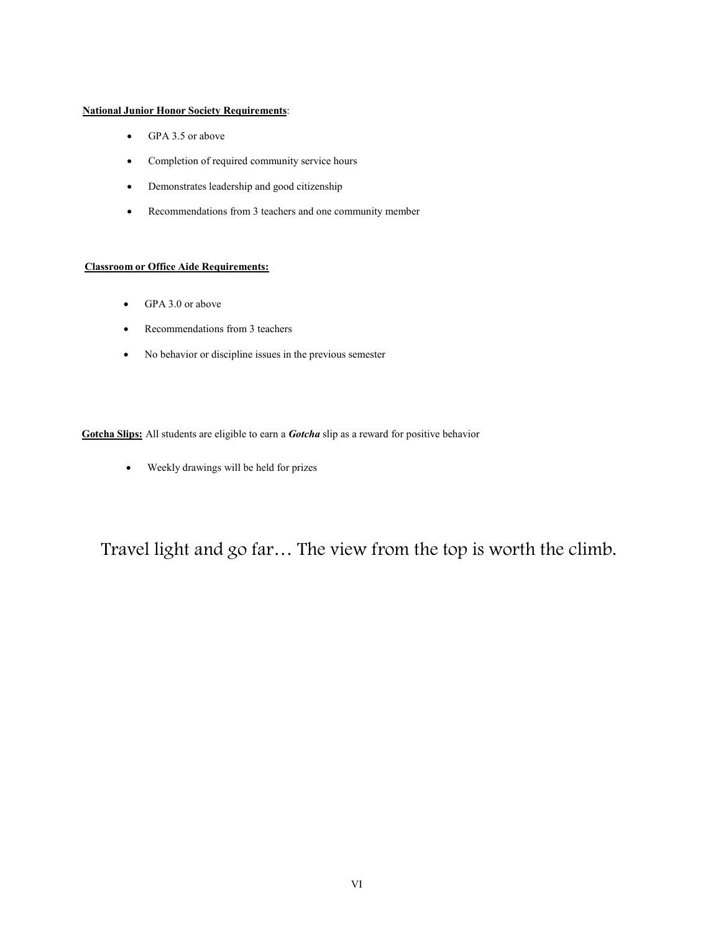# **National Junior Honor Society Requirements**:

- GPA 3.5 or above
- Completion of required community service hours
- Demonstrates leadership and good citizenship
- Recommendations from 3 teachers and one community member

# **Classroom or Office Aide Requirements:**

- GPA 3.0 or above
- Recommendations from 3 teachers
- No behavior or discipline issues in the previous semester

**Gotcha Slips:** All students are eligible to earn a *Gotcha* slip as a reward for positive behavior

• Weekly drawings will be held for prizes

Travel light and go far… The view from the top is worth the climb.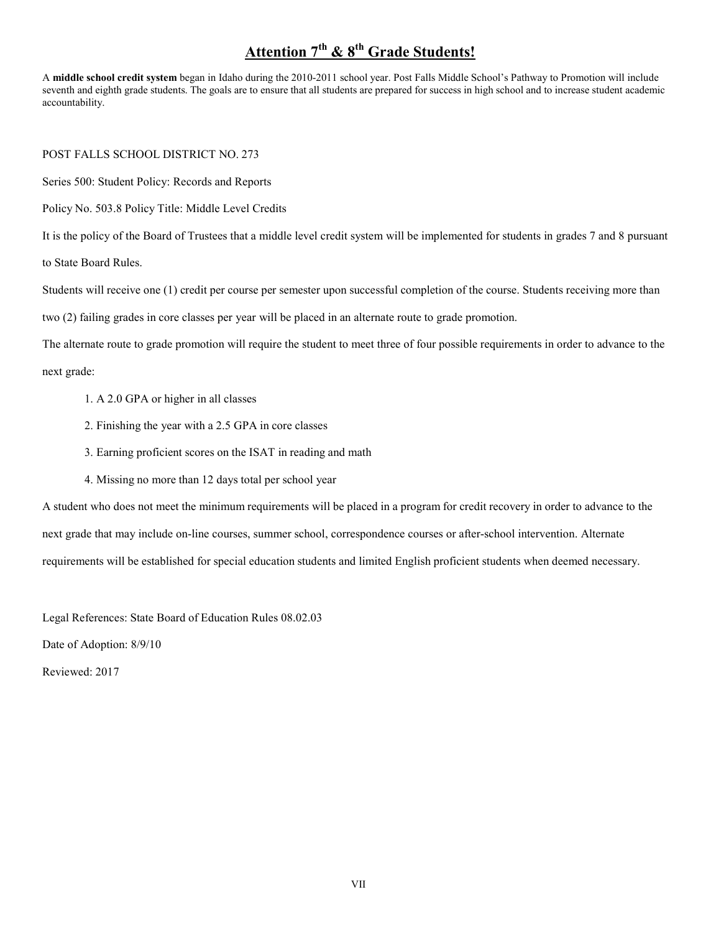# **Attention 7th & 8th Grade Students!**

A **middle school credit system** began in Idaho during the 2010-2011 school year. Post Falls Middle School's Pathway to Promotion will include seventh and eighth grade students. The goals are to ensure that all students are prepared for success in high school and to increase student academic accountability.

POST FALLS SCHOOL DISTRICT NO. 273

Series 500: Student Policy: Records and Reports

Policy No. 503.8 Policy Title: Middle Level Credits

It is the policy of the Board of Trustees that a middle level credit system will be implemented for students in grades 7 and 8 pursuant

to State Board Rules.

Students will receive one (1) credit per course per semester upon successful completion of the course. Students receiving more than

two (2) failing grades in core classes per year will be placed in an alternate route to grade promotion.

The alternate route to grade promotion will require the student to meet three of four possible requirements in order to advance to the

next grade:

- 1. A 2.0 GPA or higher in all classes
- 2. Finishing the year with a 2.5 GPA in core classes
- 3. Earning proficient scores on the ISAT in reading and math
- 4. Missing no more than 12 days total per school year

A student who does not meet the minimum requirements will be placed in a program for credit recovery in order to advance to the next grade that may include on-line courses, summer school, correspondence courses or after-school intervention. Alternate requirements will be established for special education students and limited English proficient students when deemed necessary.

Legal References: State Board of Education Rules 08.02.03

Date of Adoption: 8/9/10

Reviewed: 2017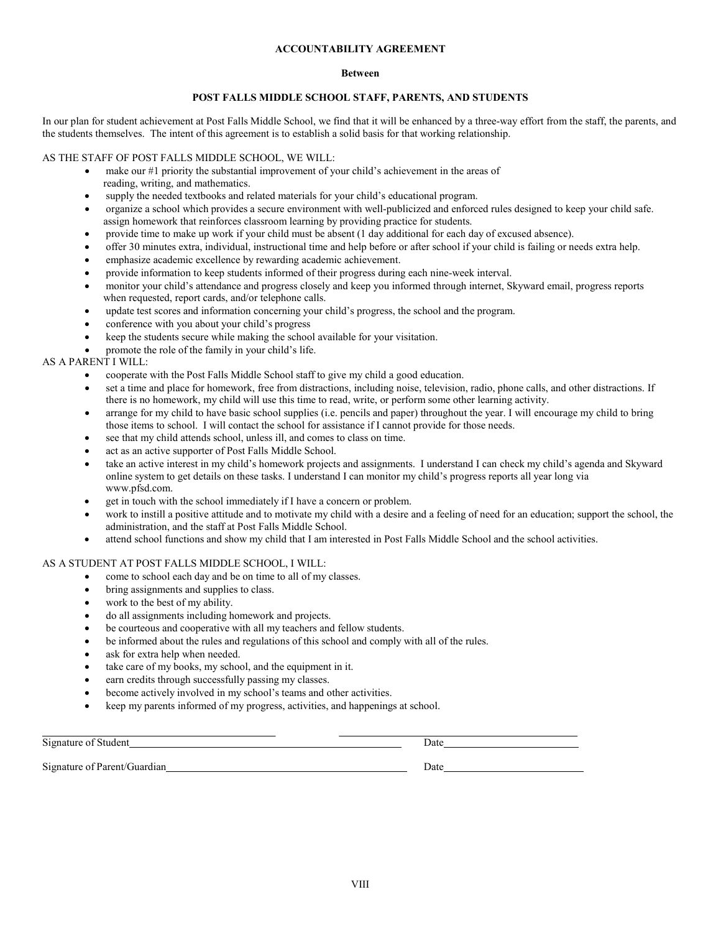#### **ACCOUNTABILITY AGREEMENT**

#### **Between**

# **POST FALLS MIDDLE SCHOOL STAFF, PARENTS, AND STUDENTS**

In our plan for student achievement at Post Falls Middle School, we find that it will be enhanced by a three-way effort from the staff, the parents, and the students themselves. The intent of this agreement is to establish a solid basis for that working relationship.

#### AS THE STAFF OF POST FALLS MIDDLE SCHOOL, WE WILL:

- make our #1 priority the substantial improvement of your child's achievement in the areas of reading, writing, and mathematics.
- supply the needed textbooks and related materials for your child's educational program.
- organize a school which provides a secure environment with well-publicized and enforced rules designed to keep your child safe. assign homework that reinforces classroom learning by providing practice for students.
- provide time to make up work if your child must be absent (1 day additional for each day of excused absence).
- offer 30 minutes extra, individual, instructional time and help before or after school if your child is failing or needs extra help.
- emphasize academic excellence by rewarding academic achievement.
- provide information to keep students informed of their progress during each nine-week interval.
- monitor your child's attendance and progress closely and keep you informed through internet, Skyward email, progress reports when requested, report cards, and/or telephone calls.
- update test scores and information concerning your child's progress, the school and the program.
- conference with you about your child's progress
- keep the students secure while making the school available for your visitation.
- promote the role of the family in your child's life.

# AS A PARENT I WILL:

- cooperate with the Post Falls Middle School staff to give my child a good education.
- set a time and place for homework, free from distractions, including noise, television, radio, phone calls, and other distractions. If there is no homework, my child will use this time to read, write, or perform some other learning activity.
- arrange for my child to have basic school supplies (i.e. pencils and paper) throughout the year. I will encourage my child to bring those items to school. I will contact the school for assistance if I cannot provide for those needs.
- see that my child attends school, unless ill, and comes to class on time.
- act as an active supporter of Post Falls Middle School.
- take an active interest in my child's homework projects and assignments. I understand I can check my child's agenda and Skyward online system to get details on these tasks. I understand I can monitor my child's progress reports all year long via [www.pfsd.com.](http://www.pfsd.com/)
- get in touch with the school immediately if I have a concern or problem.
- work to instill a positive attitude and to motivate my child with a desire and a feeling of need for an education; support the school, the administration, and the staff at Post Falls Middle School.
- attend school functions and show my child that I am interested in Post Falls Middle School and the school activities.

### AS A STUDENT AT POST FALLS MIDDLE SCHOOL, I WILL:

- come to school each day and be on time to all of my classes.
- bring assignments and supplies to class.
- work to the best of my ability.
- do all assignments including homework and projects.
- be courteous and cooperative with all my teachers and fellow students.
- be informed about the rules and regulations of this school and comply with all of the rules.
- ask for extra help when needed.
- take care of my books, my school, and the equipment in it.
- earn credits through successfully passing my classes.
- become actively involved in my school's teams and other activities.
- keep my parents informed of my progress, activities, and happenings at school.

Signature of Student Date Signature of Parent/Guardian Date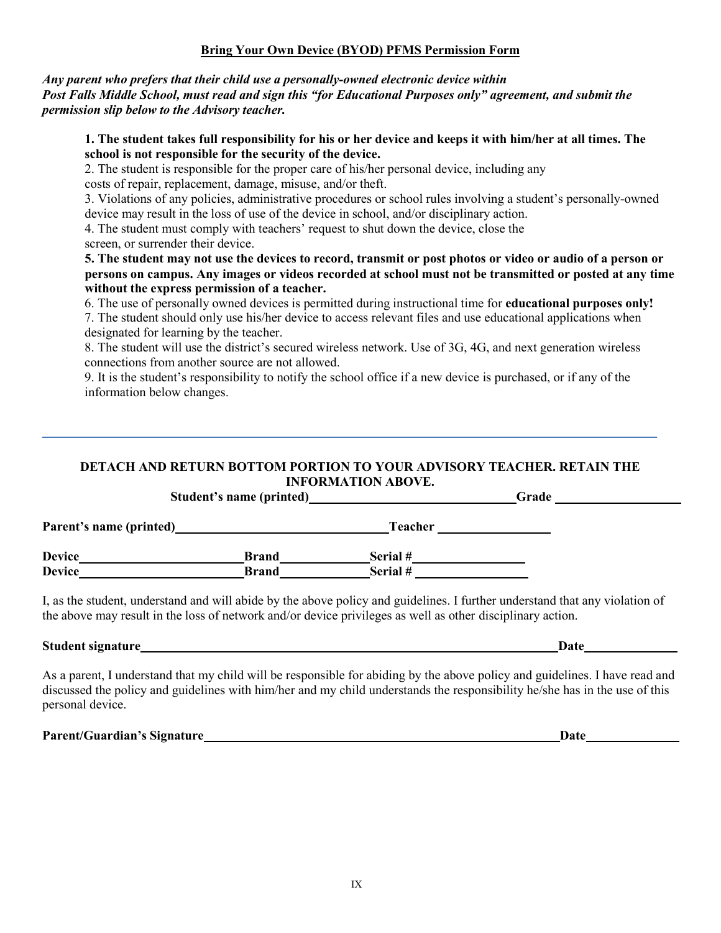# **Bring Your Own Device (BYOD) PFMS Permission Form**

# *Any parent who prefers that their child use a personally-owned electronic device within Post Falls Middle School, must read and sign this "for Educational Purposes only" agreement, and submit the permission slip below to the Advisory teacher.*

# **1. The student takes full responsibility for his or her device and keeps it with him/her at all times. The school is not responsible for the security of the device.**

2. The student is responsible for the proper care of his/her personal device, including any costs of repair, replacement, damage, misuse, and/or theft.

3. Violations of any policies, administrative procedures or school rules involving a student's personally-owned device may result in the loss of use of the device in school, and/or disciplinary action.

4. The student must comply with teachers' request to shut down the device, close the screen, or surrender their device.

# **5. The student may not use the devices to record, transmit or post photos or video or audio of a person or persons on campus. Any images or videos recorded at school must not be transmitted or posted at any time without the express permission of a teacher.**

6. The use of personally owned devices is permitted during instructional time for **educational purposes only!**

7. The student should only use his/her device to access relevant files and use educational applications when designated for learning by the teacher.

8. The student will use the district's secured wireless network. Use of 3G, 4G, and next generation wireless connections from another source are not allowed.

9. It is the student's responsibility to notify the school office if a new device is purchased, or if any of the information below changes.

# **DETACH AND RETURN BOTTOM PORTION TO YOUR ADVISORY TEACHER. RETAIN THE INFORMATION ABOVE.**

| Student's name (printed) |              | Grade    |  |  |
|--------------------------|--------------|----------|--|--|
| Parent's name (printed)  |              | Teacher  |  |  |
| <b>Device</b>            | <b>Brand</b> | Serial # |  |  |
| <b>Device</b>            | <b>Brand</b> | Serial # |  |  |

I, as the student, understand and will abide by the above policy and guidelines. I further understand that any violation of the above may result in the loss of network and/or device privileges as well as other disciplinary action.

# **Student signature Date**

As a parent, I understand that my child will be responsible for abiding by the above policy and guidelines. I have read and discussed the policy and guidelines with him/her and my child understands the responsibility he/she has in the use of this personal device.

**Parent/Guardian's Signature Date**

IX